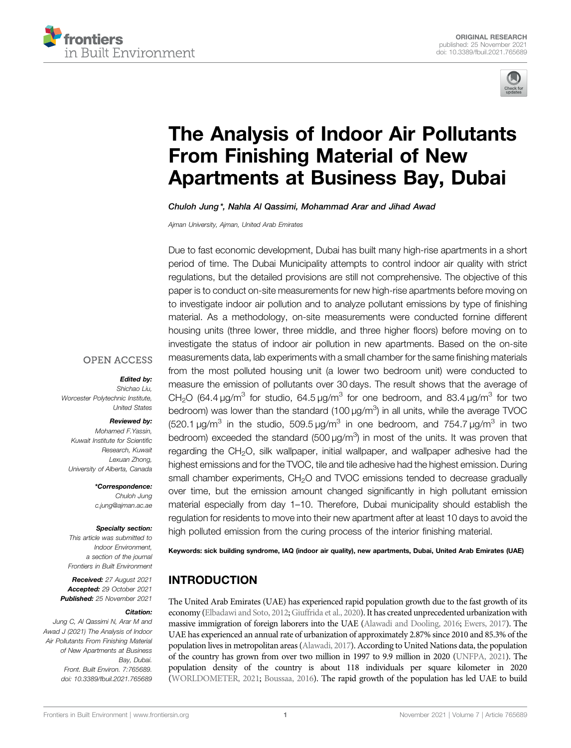



# The Analysis of Indoor Air Pollutants From Finishing Material of New Apartments at Business Bay, Dubai

Chuloh Jung \*, Nahla Al Qassimi, Mohammad Arar and Jihad Awad

*Ajman University, Ajman, United Arab Emirates*

Due to fast economic development, Dubai has built many high-rise apartments in a short period of time. The Dubai Municipality attempts to control indoor air quality with strict regulations, but the detailed provisions are still not comprehensive. The objective of this paper is to conduct on-site measurements for new high-rise apartments before moving on to investigate indoor air pollution and to analyze pollutant emissions by type of finishing material. As a methodology, on-site measurements were conducted fornine different housing units (three lower, three middle, and three higher floors) before moving on to investigate the status of indoor air pollution in new apartments. Based on the on-site measurements data, lab experiments with a small chamber for the same finishing materials from the most polluted housing unit (a lower two bedroom unit) were conducted to measure the emission of pollutants over 30 days. The result shows that the average of CH<sub>2</sub>O (64.4  $\mu$ g/m<sup>3</sup> for studio, 64.5  $\mu$ g/m<sup>3</sup> for one bedroom, and 83.4  $\mu$ g/m<sup>3</sup> for two bedroom) was lower than the standard (100  $\mu$ g/m<sup>3</sup>) in all units, while the average TVOC (520.1  $\mu$ g/m<sup>3</sup> in the studio, 509.5  $\mu$ g/m<sup>3</sup> in one bedroom, and 754.7  $\mu$ g/m<sup>3</sup> in two bedroom) exceeded the standard (500  $\mu$ g/m<sup>3</sup>) in most of the units. It was proven that regarding the  $CH<sub>2</sub>O$ , silk wallpaper, initial wallpaper, and wallpaper adhesive had the highest emissions and for the TVOC, tile and tile adhesive had the highest emission. During small chamber experiments, CH<sub>2</sub>O and TVOC emissions tended to decrease gradually over time, but the emission amount changed significantly in high pollutant emission material especially from day 1–10. Therefore, Dubai municipality should establish the regulation for residents to move into their new apartment after at least 10 days to avoid the high polluted emission from the curing process of the interior finishing material.

Keywords: sick building syndrome, IAQ (indoor air quality), new apartments, Dubai, United Arab Emirates (UAE)

# INTRODUCTION

The United Arab Emirates (UAE) has experienced rapid population growth due to the fast growth of its economy (Elbadawi and Soto, 2012; Giuffrida et al., 2020). It has created unprecedented urbanization with massive immigration of foreign laborers into the UAE (Alawadi and Dooling, 2016; Ewers, 2017). The UAE has experienced an annual rate of urbanization of approximately 2.87% since 2010 and 85.3% of the population lives in metropolitan areas (Alawadi, 2017). According to United Nations data, the population of the country has grown from over two million in 1997 to 9.9 million in 2020 (UNFPA, 2021). The population density of the country is about 118 individuals per square kilometer in 2020 (WORLDOMETER, 2021; Boussaa, 2016). The rapid growth of the population has led UAE to build

## **OPEN ACCESS**

## Edited by:

*Shichao Liu, Worcester Polytechnic Institute, United States*

## Reviewed by:

*Mohamed F.Yassin, Kuwait Institute for Scienti*fi*c Research, Kuwait Lexuan Zhong, University of Alberta, Canada*

> \*Correspondence: *Chuloh Jung c.jung@ajman.ac.ae*

#### Specialty section:

*This article was submitted to Indoor Environment, a section of the journal Frontiers in Built Environment*

Received: *27 August 2021* Accepted: *29 October 2021* Published: *25 November 2021*

## Citation:

*Jung C, Al Qassimi N, Arar M and Awad J (2021) The Analysis of Indoor Air Pollutants From Finishing Material of New Apartments at Business Bay, Dubai. Front. Built Environ. 7:765689. doi: 10.3389/fbuil.2021.765689*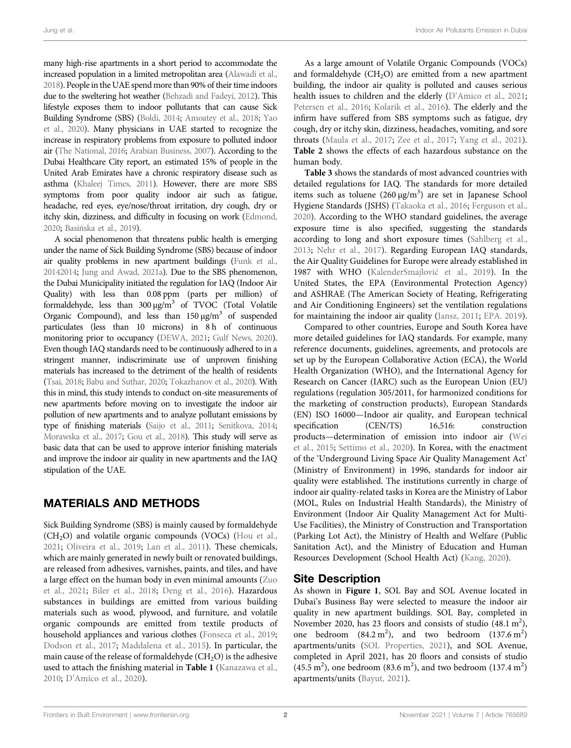many high-rise apartments in a short period to accommodate the increased population in a limited metropolitan area (Alawadi et al., 2018). People in the UAE spend more than 90% of their time indoors due to the sweltering hot weather (Behzadi and Fadeyi, 2012). This lifestyle exposes them to indoor pollutants that can cause Sick Building Syndrome (SBS) (Boldi, 2014; Amoatey et al., 2018; Yao et al., 2020). Many physicians in UAE started to recognize the increase in respiratory problems from exposure to polluted indoor air (The National, 2016; Arabian Business, 2007). According to the Dubai Healthcare City report, an estimated 15% of people in the United Arab Emirates have a chronic respiratory disease such as asthma (Khaleej Times, 2011). However, there are more SBS symptoms from poor quality indoor air such as fatigue, headache, red eyes, eye/nose/throat irritation, dry cough, dry or itchy skin, dizziness, and difficulty in focusing on work (Edmond, 2020; Basińska et al., 2019).

A social phenomenon that threatens public health is emerging under the name of Sick Building Syndrome (SBS) because of indoor air quality problems in new apartment buildings (Funk et al., 20142014; Jung and Awad, 2021a). Due to the SBS phenomenon, the Dubai Municipality initiated the regulation for IAQ (Indoor Air Quality) with less than 0.08 ppm (parts per million) of formaldehyde, less than 300 μg/m<sup>3</sup> of TVOC (Total Volatile Organic Compound), and less than  $150 \mu g/m^3$  of suspended particulates (less than 10 microns) in 8h of continuous monitoring prior to occupancy (DEWA, 2021; Gulf News, 2020). Even though IAQ standards need to be continuously adhered to in a stringent manner, indiscriminate use of unproven finishing materials has increased to the detriment of the health of residents (Tsai, 2018; Babu and Suthar, 2020; Tokazhanov et al., 2020). With this in mind, this study intends to conduct on-site measurements of new apartments before moving on to investigate the indoor air pollution of new apartments and to analyze pollutant emissions by type of finishing materials (Saijo et al., 2011; Senitkova, 2014; Morawska et al., 2017; Gou et al., 2018). This study will serve as basic data that can be used to approve interior finishing materials and improve the indoor air quality in new apartments and the IAQ stipulation of the UAE.

# MATERIALS AND METHODS

Sick Building Syndrome (SBS) is mainly caused by formaldehyde  $(CH<sub>2</sub>O)$  and volatile organic compounds (VOCs) (Hou et al., 2021; Oliveira et al., 2019; Lan et al., 2011). These chemicals, which are mainly generated in newly built or renovated buildings, are released from adhesives, varnishes, paints, and tiles, and have a large effect on the human body in even minimal amounts (Zuo et al., 2021; Biler et al., 2018; Deng et al., 2016). Hazardous substances in buildings are emitted from various building materials such as wood, plywood, and furniture, and volatile organic compounds are emitted from textile products of household appliances and various clothes (Fonseca et al., 2019; Dodson et al., 2017; Maddalena et al., 2015). In particular, the main cause of the release of formaldehyde  $(CH_2O)$  is the adhesive used to attach the finishing material in Table 1 (Kanazawa et al., 2010; D'Amico et al., 2020).

As a large amount of Volatile Organic Compounds (VOCs) and formaldehyde  $(CH<sub>2</sub>O)$  are emitted from a new apartment building, the indoor air quality is polluted and causes serious health issues to children and the elderly (D'Amico et al., 2021; Petersen et al., 2016; Kolarik et al., 2016). The elderly and the infirm have suffered from SBS symptoms such as fatigue, dry cough, dry or itchy skin, dizziness, headaches, vomiting, and sore throats (Maula et al., 2017; Zee et al., 2017; Yang et al., 2021). Table 2 shows the effects of each hazardous substance on the human body.

Table 3 shows the standards of most advanced countries with detailed regulations for IAQ. The standards for more detailed items such as toluene  $(260 \,\mathrm{\upmu g/m^3})$  are set in Japanese School Hygiene Standards (JSHS) (Takaoka et al., 2016; Ferguson et al., 2020). According to the WHO standard guidelines, the average exposure time is also specified, suggesting the standards according to long and short exposure times (Sahlberg et al., 2013; Nehr et al., 2017). Regarding European IAQ standards, the Air Quality Guidelines for Europe were already established in 1987 with WHO (KalenderSmajlović et al., 2019). In the United States, the EPA (Environmental Protection Agency) and ASHRAE (The American Society of Heating, Refrigerating and Air Conditioning Engineers) set the ventilation regulations for maintaining the indoor air quality (Jansz, 2011; EPA. 2019).

Compared to other countries, Europe and South Korea have more detailed guidelines for IAQ standards. For example, many reference documents, guidelines, agreements, and protocols are set up by the European Collaborative Action (ECA), the World Health Organization (WHO), and the International Agency for Research on Cancer (IARC) such as the European Union (EU) regulations (regulation 305/2011, for harmonized conditions for the marketing of construction products), European Standards (EN) ISO 16000—Indoor air quality, and European technical specification (CEN/TS) 16,516: construction products—determination of emission into indoor air (Wei et al., 2015; Settimo et al., 2020). In Korea, with the enactment of the 'Underground Living Space Air Quality Management Act' (Ministry of Environment) in 1996, standards for indoor air quality were established. The institutions currently in charge of indoor air quality-related tasks in Korea are the Ministry of Labor (MOL, Rules on Industrial Health Standards), the Ministry of Environment (Indoor Air Quality Management Act for Multi-Use Facilities), the Ministry of Construction and Transportation (Parking Lot Act), the Ministry of Health and Welfare (Public Sanitation Act), and the Ministry of Education and Human Resources Development (School Health Act) (Kang, 2020).

# Site Description

As shown in Figure 1, SOL Bay and SOL Avenue located in Dubai's Business Bay were selected to measure the indoor air quality in new apartment buildings. SOL Bay, completed in November 2020, has 23 floors and consists of studio  $(48.1 \text{ m}^2)$ , one bedroom  $(84.2 \text{ m}^2)$ , and two bedroom  $(137.6 \text{ m}^2)$ apartments/units (SOL Properties, 2021), and SOL Avenue, completed in April 2021, has 20 floors and consists of studio  $(45.5 \text{ m}^2)$ , one bedroom  $(83.6 \text{ m}^2)$ , and two bedroom  $(137.4 \text{ m}^2)$ apartments/units (Bayut, 2021).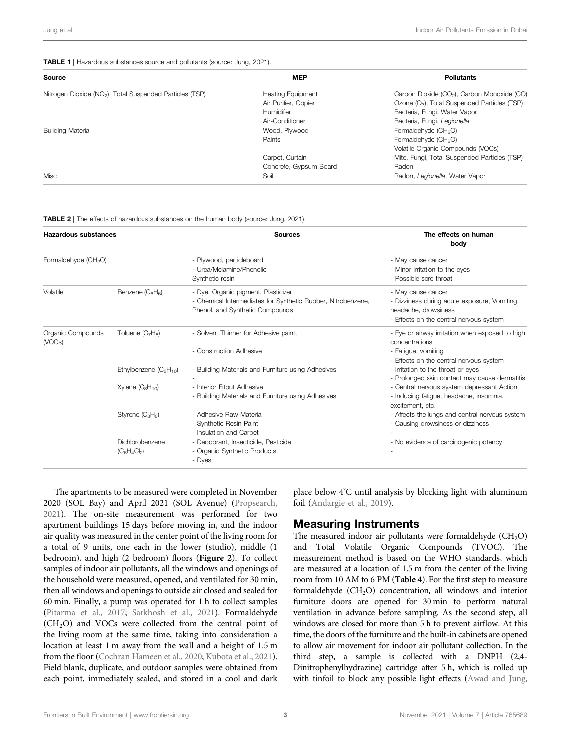## TABLE 1 | Hazardous substances source and pollutants (source: Jung, 2021).

| Source                                                               | <b>MEP</b>               | <b>Pollutants</b>                                        |  |  |
|----------------------------------------------------------------------|--------------------------|----------------------------------------------------------|--|--|
| Nitrogen Dioxide (NO <sub>2</sub> ), Total Suspended Particles (TSP) | <b>Heating Equipment</b> | Carbon Dioxide (CO <sub>2</sub> ), Carbon Monoxide (CO)  |  |  |
|                                                                      | Air Purifier, Copier     | Ozone (O <sub>3</sub> ), Total Suspended Particles (TSP) |  |  |
|                                                                      | Humidifier               | Bacteria, Fungi, Water Vapor                             |  |  |
|                                                                      | Air-Conditioner          | Bacteria, Fungi, Legionella                              |  |  |
| <b>Building Material</b>                                             | Wood, Plywood            | Formaldehyde (CH <sub>2</sub> O)                         |  |  |
|                                                                      | Paints                   | Formaldehyde (CH <sub>2</sub> O)                         |  |  |
|                                                                      |                          | Volatile Organic Compounds (VOCs)                        |  |  |
|                                                                      | Carpet, Curtain          | Mite, Fungi, Total Suspended Particles (TSP)             |  |  |
|                                                                      | Concrete, Gypsum Board   | Radon                                                    |  |  |
| Misc                                                                 | Soil                     | Radon, Legionella, Water Vapor                           |  |  |

TABLE 2 | The effects of hazardous substances on the human body (source: Jung, 2021).

| Hazardous substances             |                                          | <b>Sources</b>                                                                                                                         | The effects on human<br>body                                                                                                          |  |  |
|----------------------------------|------------------------------------------|----------------------------------------------------------------------------------------------------------------------------------------|---------------------------------------------------------------------------------------------------------------------------------------|--|--|
| Formaldehyde (CH <sub>2</sub> O) |                                          | - Plywood, particleboard<br>- Urea/Melamine/Phenolic<br>Synthetic resin                                                                | - May cause cancer<br>- Minor irritation to the eyes<br>- Possible sore throat                                                        |  |  |
| Volatile                         | Benzene $(C_6H_6)$                       | - Dye, Organic pigment, Plasticizer<br>- Chemical Intermediates for Synthetic Rubber, Nitrobenzene,<br>Phenol, and Synthetic Compounds | - May cause cancer<br>- Dizziness during acute exposure, Vomiting,<br>headache, drowsiness<br>- Effects on the central nervous system |  |  |
| Organic Compounds<br>(VOCs)      | Toluene $(C_7H_8)$                       | - Solvent Thinner for Adhesive paint,<br>- Construction Adhesive                                                                       | - Eye or airway irritation when exposed to high<br>concentrations<br>- Fatique, vomiting                                              |  |  |
|                                  | Ethylbenzene $(C_8H_{10})$               | - Building Materials and Furniture using Adhesives                                                                                     | - Effects on the central nervous system<br>- Irritation to the throat or eyes<br>- Prolonged skin contact may cause dermatitis        |  |  |
|                                  | Xylene $(C_8H_{10})$                     | - Interior Fitout Adhesive<br>- Building Materials and Furniture using Adhesives                                                       | - Central nervous system depressant Action<br>- Inducing fatigue, headache, insomnia,<br>excitement, etc.                             |  |  |
|                                  | Styrene (C <sub>8</sub> H <sub>8</sub> ) | - Adhesive Raw Material<br>- Synthetic Resin Paint<br>- Insulation and Carpet                                                          | - Affects the lungs and central nervous system<br>- Causing drowsiness or dizziness                                                   |  |  |
|                                  | Dichlorobenzene<br>$(C_6H_4Cl_2)$        | - Deodorant, Insecticide, Pesticide<br>- Organic Synthetic Products<br>- Dyes                                                          | - No evidence of carcinogenic potency                                                                                                 |  |  |

The apartments to be measured were completed in November 2020 (SOL Bay) and April 2021 (SOL Avenue) (Propsearch, 2021). The on-site measurement was performed for two apartment buildings 15 days before moving in, and the indoor air quality was measured in the center point of the living room for a total of 9 units, one each in the lower (studio), middle (1 bedroom), and high (2 bedroom) floors (Figure 2). To collect samples of indoor air pollutants, all the windows and openings of the household were measured, opened, and ventilated for 30 min, then all windows and openings to outside air closed and sealed for 60 min. Finally, a pump was operated for 1 h to collect samples (Pitarma et al., 2017; Sarkhosh et al., 2021). Formaldehyde  $(CH<sub>2</sub>O)$  and VOCs were collected from the central point of the living room at the same time, taking into consideration a location at least 1 m away from the wall and a height of 1.5 m from the floor (Cochran Hameen et al., 2020; Kubota et al., 2021). Field blank, duplicate, and outdoor samples were obtained from each point, immediately sealed, and stored in a cool and dark

place below 4°C until analysis by blocking light with aluminum foil (Andargie et al., 2019).

# Measuring Instruments

The measured indoor air pollutants were formaldehyde  $(CH_2O)$ and Total Volatile Organic Compounds (TVOC). The measurement method is based on the WHO standards, which are measured at a location of 1.5 m from the center of the living room from 10 AM to 6 PM (Table 4). For the first step to measure formaldehyde  $(CH<sub>2</sub>O)$  concentration, all windows and interior furniture doors are opened for 30 min to perform natural ventilation in advance before sampling. As the second step, all windows are closed for more than 5 h to prevent airflow. At this time, the doors of the furniture and the built-in cabinets are opened to allow air movement for indoor air pollutant collection. In the third step, a sample is collected with a DNPH (2,4- Dinitrophenylhydrazine) cartridge after 5 h, which is rolled up with tinfoil to block any possible light effects (Awad and Jung,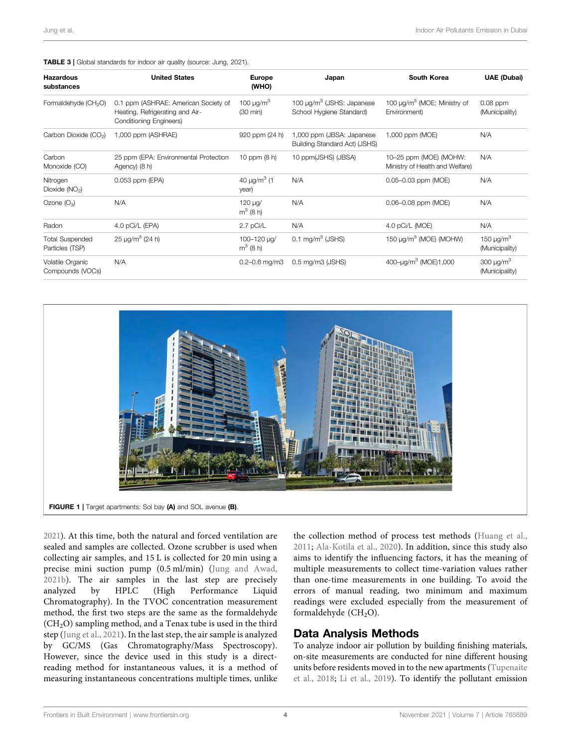## TABLE 3 | Global standards for indoor air quality (source: Jung, 2021).

| <b>Hazardous</b><br>substances            | <b>United States</b>                                                                               | <b>Europe</b><br>(WHO)                           | Japan                                                                  | South Korea                                                  | <b>UAE (Dubai)</b>                           |
|-------------------------------------------|----------------------------------------------------------------------------------------------------|--------------------------------------------------|------------------------------------------------------------------------|--------------------------------------------------------------|----------------------------------------------|
| Formaldehyde (CH <sub>2</sub> O)          | 0.1 ppm (ASHRAE: American Society of<br>Heating, Refrigerating and Air-<br>Conditioning Engineers) | 100 $\mu$ g/m <sup>3</sup><br>$(30 \text{ min})$ | 100 $\mu$ g/m <sup>3</sup> (JSHS: Japanese<br>School Hygiene Standard) | 100 $\mu$ g/m <sup>3</sup> (MOE: Ministry of<br>Environment) | $0.08$ ppm<br>(Municipality)                 |
| Carbon Dioxide (CO <sub>2</sub> )         | 1,000 ppm (ASHRAE)                                                                                 | 920 ppm (24 h)                                   | 1,000 ppm (JBSA: Japanese<br>Building Standard Act) (JSHS)             | 1,000 ppm (MOE)                                              | N/A                                          |
| Carbon<br>Monoxide (CO)                   | 25 ppm (EPA: Environmental Protection<br>Agency) (8 h)                                             | 10 ppm $(8 h)$                                   | 10 ppm(JSHS) (JBSA)                                                    | 10-25 ppm (MOE) (MOHW:<br>Ministry of Health and Welfare)    | N/A                                          |
| Nitrogen<br>Dioxide $(NO2)$               | 0.053 ppm (EPA)                                                                                    | 40 $\mu$ g/m <sup>3</sup> (1<br>year)            | N/A                                                                    | 0.05-0.03 ppm (MOE)                                          | N/A                                          |
| Ozone $(O_3)$                             | N/A                                                                                                | 120 µg/<br>$m^3$ (8 h)                           | N/A                                                                    | 0.06-0.08 ppm (MOE)                                          | N/A                                          |
| Radon                                     | 4.0 pCi/L (EPA)                                                                                    | 2.7 pCi/L                                        | N/A                                                                    | 4.0 pCi/L (MOE)                                              | N/A                                          |
| <b>Total Suspended</b><br>Particles (TSP) | 25 $\mu q/m^3$ (24 h)                                                                              | 100-120 µg/<br>$m^3$ (8 h)                       | $0.1 \text{ mg/m}^3$ (JSHS)                                            | 150 µg/m <sup>3</sup> (MOE) (MOHW)                           | 150 $\mu$ g/m <sup>3</sup><br>(Municipality) |
| Volatile Organic<br>Compounds (VOCs)      | N/A                                                                                                | $0.2 - 0.6$ mg/m $3$                             | $0.5$ mg/m $3$ (JSHS)                                                  | 400-uq/m <sup>3</sup> (MOE)1,000                             | 300 $\mu$ g/m <sup>3</sup><br>(Municipality) |



2021). At this time, both the natural and forced ventilation are sealed and samples are collected. Ozone scrubber is used when collecting air samples, and 15 L is collected for 20 min using a precise mini suction pump (0.5 ml/min) (Jung and Awad, 2021b). The air samples in the last step are precisely analyzed by HPLC (High Performance Liquid Chromatography). In the TVOC concentration measurement method, the first two steps are the same as the formaldehyde  $(CH<sub>2</sub>O)$  sampling method, and a Tenax tube is used in the third step (Jung et al., 2021). In the last step, the air sample is analyzed by GC/MS (Gas Chromatography/Mass Spectroscopy). However, since the device used in this study is a directreading method for instantaneous values, it is a method of measuring instantaneous concentrations multiple times, unlike

the collection method of process test methods (Huang et al., 2011; Ala-Kotila et al., 2020). In addition, since this study also aims to identify the influencing factors, it has the meaning of multiple measurements to collect time-variation values rather than one-time measurements in one building. To avoid the errors of manual reading, two minimum and maximum readings were excluded especially from the measurement of formaldehyde  $(CH<sub>2</sub>O)$ .

# Data Analysis Methods

To analyze indoor air pollution by building finishing materials, on-site measurements are conducted for nine different housing units before residents moved in to the new apartments (Tupenaite et al., 2018; Li et al., 2019). To identify the pollutant emission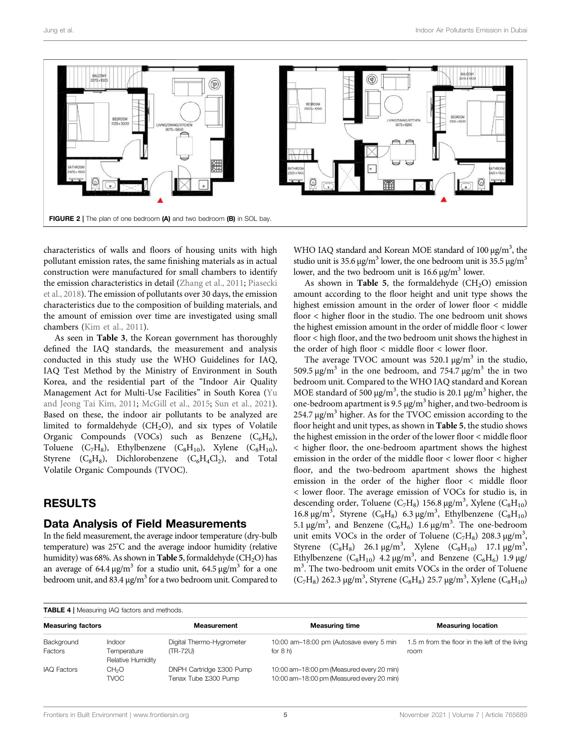

characteristics of walls and floors of housing units with high pollutant emission rates, the same finishing materials as in actual construction were manufactured for small chambers to identify the emission characteristics in detail (Zhang et al., 2011; Piasecki et al., 2018). The emission of pollutants over 30 days, the emission characteristics due to the composition of building materials, and the amount of emission over time are investigated using small chambers (Kim et al., 2011).

As seen in Table 3, the Korean government has thoroughly defined the IAQ standards, the measurement and analysis conducted in this study use the WHO Guidelines for IAQ, IAQ Test Method by the Ministry of Environment in South Korea, and the residential part of the "Indoor Air Quality Management Act for Multi-Use Facilities" in South Korea (Yu and Jeong Tai Kim, 2011; McGill et al., 2015; Sun et al., 2021). Based on these, the indoor air pollutants to be analyzed are limited to formaldehyde  $(CH_2O)$ , and six types of Volatile Organic Compounds (VOCs) such as Benzene  $(C_6H_6)$ , Toluene (C<sub>7</sub>H<sub>8</sub>), Ethylbenzene (C<sub>8</sub>H<sub>10</sub>), Xylene (C<sub>8</sub>H<sub>10</sub>), Styrene  $(C_8H_8)$ , Dichlorobenzene  $(C_6H_4Cl_2)$ , and Total Volatile Organic Compounds (TVOC).

# RESULTS

## Data Analysis of Field Measurements

In the field measurement, the average indoor temperature (dry-bulb temperature) was 25°C and the average indoor humidity (relative humidity) was 68%. As shown in **Table 5**, formaldehyde  $(CH_2O)$  has an average of 64.4  $\mu$ g/m<sup>3</sup> for a studio unit, 64.5  $\mu$ g/m<sup>3</sup> for a one bedroom unit, and 83.4 μg/m<sup>3</sup> for a two bedroom unit. Compared to

WHO IAQ standard and Korean MOE standard of 100 μg/m<sup>3</sup>, the studio unit is 35.6  $\mu$ g/m<sup>3</sup> lower, the one bedroom unit is 35.5  $\mu$ g/m<sup>3</sup> lower, and the two bedroom unit is  $16.6 \,\mathrm{\upmu g/m^3}$  lower.

As shown in Table 5, the formaldehyde  $(CH_2O)$  emission amount according to the floor height and unit type shows the highest emission amount in the order of lower floor < middle floor < higher floor in the studio. The one bedroom unit shows the highest emission amount in the order of middle floor < lower floor < high floor, and the two bedroom unit shows the highest in the order of high floor < middle floor < lower floor.

The average TVOC amount was 520.1  $\mu$ g/m<sup>3</sup> in the studio, 509.5 μg/m<sup>3</sup> in the one bedroom, and 754.7 μg/m<sup>3</sup> the in two bedroom unit. Compared to the WHO IAQ standard and Korean MOE standard of 500  $\mu$ g/m<sup>3</sup>, the studio is 20.1  $\mu$ g/m<sup>3</sup> higher, the one-bedroom apartment is 9.5  $\mu$ g/m<sup>3</sup> higher, and two-bedroom is 254.7 μg/m<sup>3</sup> higher. As for the TVOC emission according to the floor height and unit types, as shown in Table 5, the studio shows the highest emission in the order of the lower floor < middle floor < higher floor, the one-bedroom apartment shows the highest emission in the order of the middle floor < lower floor < higher floor, and the two-bedroom apartment shows the highest emission in the order of the higher floor < middle floor < lower floor. The average emission of VOCs for studio is, in descending order, Toluene ( $C_7H_8$ ) 156.8  $\mu$ g/m<sup>3</sup>, Xylene ( $C_8H_{10}$ ) 16.8 μg/m<sup>3</sup>, Styrene (C<sub>8</sub>H<sub>8</sub>) 6.3 μg/m<sup>3</sup>, Ethylbenzene (C<sub>8</sub>H<sub>10</sub>) 5.1 μg/m<sup>3</sup>, and Benzene (C<sub>6</sub>H<sub>6</sub>) 1.6 μg/m<sup>3</sup>. The one-bedroom unit emits VOCs in the order of Toluene ( $C_7H_8$ ) 208.3  $\mu$ g/m<sup>3</sup>, Styrene  $(C_8H_8)$  26.1  $\mu g/m^3$ , Xylene  $(C_8H_{10})$  17.1  $\mu g/m^3$ , Ethylbenzene  $(C_8H_{10})$  4.2  $\mu$ g/m<sup>3</sup>, and Benzene  $(C_6H_6)$  1.9  $\mu$ g/ m<sup>3</sup>. The two-bedroom unit emits VOCs in the order of Toluene  $\rm (C_7H_8)$ 262.3 μg/m<sup>3</sup>, Styrene (C<sub>8</sub>H<sub>8</sub>) 25.7 μg/m<sup>3</sup>, Xylene (C<sub>8</sub>H<sub>10</sub>)

TABLE 4 | Measuring IAQ factors and methods.

| <b>Measuring factors</b> |                                  | <b>Measurement</b>                               | <b>Measuring time</b>                                                                  | <b>Measuring location</b>                      |  |  |  |  |
|--------------------------|----------------------------------|--------------------------------------------------|----------------------------------------------------------------------------------------|------------------------------------------------|--|--|--|--|
| Background               | Indoor                           | Digital Thermo-Hygrometer                        | 10:00 am-18:00 pm (Autosave every 5 min                                                | 1.5 m from the floor in the left of the living |  |  |  |  |
| Factors                  | Temperature<br>Relative Humidity | (TR-72U)                                         | for $8 h$ )                                                                            | room                                           |  |  |  |  |
| <b>IAQ Factors</b>       | CH <sub>2</sub> O<br>TVOC        | DNPH Cartridge Σ300 Pump<br>Tenax Tube Σ300 Pump | 10:00 am-18:00 pm (Measured every 20 min)<br>10:00 am-18:00 pm (Measured every 20 min) |                                                |  |  |  |  |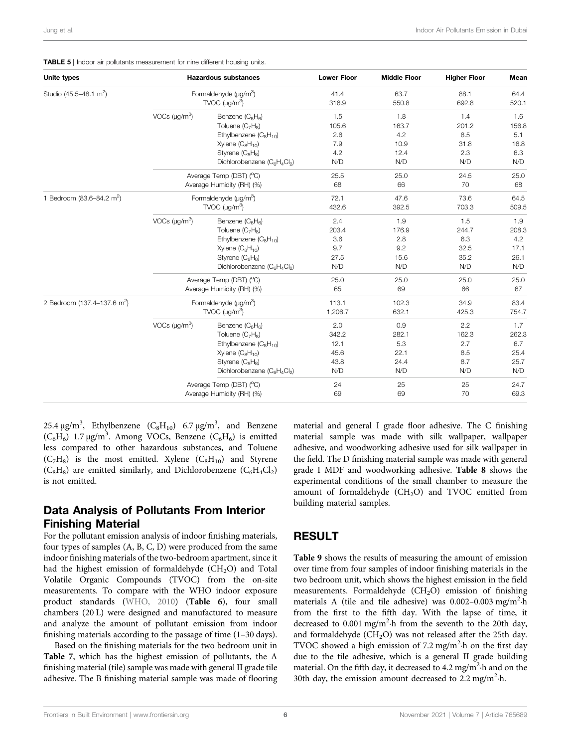| Unite types<br><b>Hazardous substances</b> |                            |                                          | <b>Lower Floor</b> | <b>Middle Floor</b> | <b>Higher Floor</b> | Mean  |
|--------------------------------------------|----------------------------|------------------------------------------|--------------------|---------------------|---------------------|-------|
| Studio (45.5-48.1 m <sup>2</sup> )         | Formaldehyde $(\mu q/m^3)$ |                                          | 41.4               | 63.7                | 88.1                | 64.4  |
|                                            |                            | TVOC $(\mu q/m^3)$                       | 316.9              | 550.8               | 692.8               | 520.1 |
|                                            | VOCs $(\mu g/m^3)$         | Benzene (C <sub>6</sub> H <sub>6</sub> ) | 1.5                | 1.8                 | 1.4                 | 1.6   |
|                                            |                            | Toluene $(C_7H_8)$                       | 105.6              | 163.7               | 201.2               | 156.8 |
|                                            |                            | Ethylbenzene $(C_8H_{10})$               | 2.6                | 4.2                 | 8.5                 | 5.1   |
|                                            |                            | Xylene $(C_8H_{10})$                     | 7.9                | 10.9                | 31.8                | 16.8  |
|                                            |                            | Styrene (C <sub>8</sub> H <sub>8</sub> ) | 4.2                | 12.4                | 2.3                 | 6.3   |
|                                            |                            | Dichlorobenzene (C6H4Cl2)                | N/D                | N/D                 | N/D                 | N/D   |
|                                            |                            | Average Temp (DBT) (°C)                  | 25.5               | 25.0                | 24.5                | 25.0  |
|                                            |                            | Average Humidity (RH) (%)                | 68                 | 66                  | 70                  | 68    |
| 1 Bedroom (83.6-84.2 m <sup>2</sup> )      | Formaldehyde $(\mu q/m^3)$ |                                          | 72.1               | 47.6                | 73.6                | 64.5  |
|                                            | TVOC $(\mu g/m^3)$         |                                          | 432.6              | 392.5               | 703.3               | 509.5 |
|                                            | VOCs $(\mu g/m^3)$         | Benzene (C <sub>6</sub> H <sub>6</sub> ) | 2.4                | 1.9                 | 1.5                 | 1.9   |
|                                            |                            | Toluene $(C_7H_8)$                       | 203.4              | 176.9               | 244.7               | 208.3 |
|                                            |                            | Ethylbenzene $(C_8H_{10})$               | 3.6                | 2.8                 | 6.3                 | 4.2   |
|                                            |                            | Xylene $(C_8H_{10})$                     | 9.7                | 9.2                 | 32.5                | 17.1  |
|                                            |                            | Styrene (C <sub>8</sub> H <sub>8</sub> ) | 27.5               | 15.6                | 35.2                | 26.1  |
|                                            |                            | Dichlorobenzene (C6H4Cl2)                | N/D                | N/D                 | N/D                 | N/D   |
|                                            |                            | Average Temp (DBT) (°C)                  | 25.0               | 25.0                | 25.0                | 25.0  |
|                                            | Average Humidity (RH) (%)  |                                          | 65                 | 69                  | 66                  | 67    |
| 2 Bedroom (137.4-137.6 m <sup>2</sup> )    |                            | Formaldehyde $(\mu g/m^3)$               | 113.1              | 102.3               | 34.9                | 83.4  |
|                                            |                            | TVOC $(\mu g/m^3)$                       | 1,206.7            | 632.1               | 425.3               | 754.7 |
|                                            | VOCs $(\mu g/m^3)$         | Benzene (C <sub>6</sub> H <sub>6</sub> ) | 2.0                | 0.9                 | 2.2                 | 1.7   |
|                                            |                            | Toluene (C <sub>7</sub> H <sub>8</sub> ) | 342.2              | 282.1               | 162.3               | 262.3 |
|                                            |                            | Ethylbenzene $(C_8H_{10})$               | 12.1               | 5.3                 | 2.7                 | 6.7   |
|                                            |                            | Xylene $(C_8H_{10})$                     | 45.6               | 22.1                | 8.5                 | 25.4  |
|                                            |                            | Styrene (C <sub>8</sub> H <sub>8</sub> ) | 43.8               | 24.4                | 8.7                 | 25.7  |
|                                            |                            | Dichlorobenzene (C6H4Cl2)                | N/D                | N/D                 | N/D                 | N/D   |
|                                            |                            | Average Temp (DBT) (°C)                  | 24                 | 25                  | 25                  | 24.7  |
|                                            |                            | Average Humidity (RH) (%)                | 69                 | 69                  | 70                  | 69.3  |

TABLE 5 | Indoor air pollutants measurement for nine different housing units.

25.4  $\mu$ g/m<sup>3</sup>, Ethylbenzene (C<sub>8</sub>H<sub>10</sub>) 6.7  $\mu$ g/m<sup>3</sup>, and Benzene  $(C_6H_6)$  1.7  $\mu$ g/m<sup>3</sup>. Among VOCs, Benzene  $(C_6H_6)$  is emitted less compared to other hazardous substances, and Toluene  $(C_7H_8)$  is the most emitted. Xylene  $(C_8H_{10})$  and Styrene  $(C_8H_8)$  are emitted similarly, and Dichlorobenzene  $(C_6H_4Cl_2)$ is not emitted.

# Data Analysis of Pollutants From Interior Finishing Material

For the pollutant emission analysis of indoor finishing materials, four types of samples (A, B, C, D) were produced from the same indoor finishing materials of the two-bedroom apartment, since it had the highest emission of formaldehyde  $(CH<sub>2</sub>O)$  and Total Volatile Organic Compounds (TVOC) from the on-site measurements. To compare with the WHO indoor exposure product standards (WHO, 2010) (Table 6), four small chambers (20 L) were designed and manufactured to measure and analyze the amount of pollutant emission from indoor finishing materials according to the passage of time (1–30 days).

Based on the finishing materials for the two bedroom unit in Table 7, which has the highest emission of pollutants, the A finishing material (tile) sample was made with general II grade tile adhesive. The B finishing material sample was made of flooring

material and general I grade floor adhesive. The C finishing material sample was made with silk wallpaper, wallpaper adhesive, and woodworking adhesive used for silk wallpaper in the field. The D finishing material sample was made with general grade I MDF and woodworking adhesive. Table 8 shows the experimental conditions of the small chamber to measure the amount of formaldehyde  $(CH_2O)$  and TVOC emitted from building material samples.

# RESULT

Table 9 shows the results of measuring the amount of emission over time from four samples of indoor finishing materials in the two bedroom unit, which shows the highest emission in the field measurements. Formaldehyde  $(CH_2O)$  emission of finishing materials A (tile and tile adhesive) was 0.002-0.003 mg/m<sup>2</sup>·h from the first to the fifth day. With the lapse of time, it decreased to 0.001 mg/m<sup>2</sup>·h from the seventh to the 20th day, and formaldehyde  $(CH_2O)$  was not released after the 25th day. TVOC showed a high emission of 7.2 mg/m<sup>2</sup>·h on the first day due to the tile adhesive, which is a general II grade building material. On the fifth day, it decreased to 4.2 mg/m<sup>2</sup>·h and on the 30th day, the emission amount decreased to  $2.2$  mg/m<sup>2</sup>·h.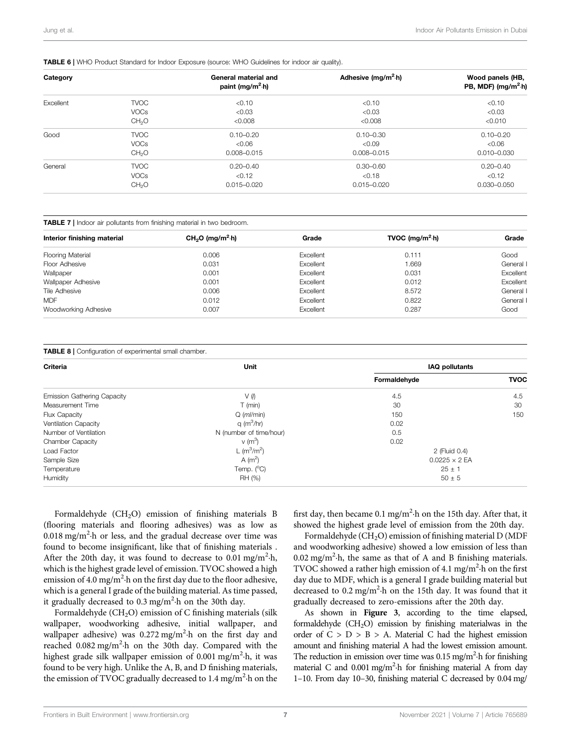## TABLE 6 | WHO Product Standard for Indoor Exposure (source: WHO Guidelines for indoor air quality).

| Category  |                   | General material and<br>paint (mg/m <sup>2</sup> ·h) | Adhesive (mg/m <sup>2</sup> $\cdot$ h) | Wood panels (HB,<br>PB, MDF) ( $mg/m2$ -h) |
|-----------|-------------------|------------------------------------------------------|----------------------------------------|--------------------------------------------|
| Excellent | <b>TVOC</b>       | < 0.10                                               | < 0.10                                 | < 0.10                                     |
|           | <b>VOCs</b>       | < 0.03                                               | < 0.03                                 | < 0.03                                     |
|           | CH <sub>2</sub> O | < 0.008                                              | < 0.008                                | < 0.010                                    |
| Good      | <b>TVOC</b>       | $0.10 - 0.20$                                        | $0.10 - 0.30$                          | $0.10 - 0.20$                              |
|           | <b>VOCs</b>       | < 0.06                                               | < 0.09                                 | &0.06                                      |
|           | CH <sub>2</sub> O | $0.008 - 0.015$                                      | $0.008 - 0.015$                        | $0.010 - 0.030$                            |
| General   | <b>TVOC</b>       | $0.20 - 0.40$                                        | $0.30 - 0.60$                          | $0.20 - 0.40$                              |
|           | <b>VOCs</b>       | < 0.12                                               | < 0.18                                 | < 0.12                                     |
|           | CH <sub>2</sub> O | $0.015 - 0.020$                                      | $0.015 - 0.020$                        | $0.030 - 0.050$                            |

|  | <b>TABLE 7</b>   Indoor air pollutants from finishing material in two bedroom. |  |  |  |
|--|--------------------------------------------------------------------------------|--|--|--|
|  |                                                                                |  |  |  |

| Interior finishing material | $CH2O$ (mg/m <sup>2</sup> ·h) | Grade     | TVOC (mg/m <sup>2</sup> $\cdot$ h) | Grade     |
|-----------------------------|-------------------------------|-----------|------------------------------------|-----------|
| <b>Flooring Material</b>    | 0.006                         | Excellent | 0.111                              | Good      |
| Floor Adhesive              | 0.031                         | Excellent | 1.669                              | General I |
| Wallpaper                   | 0.001                         | Excellent | 0.031                              | Excellent |
| Wallpaper Adhesive          | 0.001                         | Excellent | 0.012                              | Excellent |
| Tile Adhesive               | 0.006                         | Excellent | 8.572                              | General I |
| <b>MDF</b>                  | 0.012                         | Excellent | 0.822                              | General I |
| Woodworking Adhesive        | 0.007                         | Excellent | 0.287                              | Good      |

#### TABLE 8 | Configuration of experimental small chamber.

| Criteria                           | Unit                     | <b>IAQ pollutants</b> |             |  |  |
|------------------------------------|--------------------------|-----------------------|-------------|--|--|
|                                    |                          | Formaldehyde          | <b>TVOC</b> |  |  |
| <b>Emission Gathering Capacity</b> | V (I)                    | 4.5                   | 4.5         |  |  |
| Measurement Time                   | $T$ (min)                | 30                    | 30          |  |  |
| Flux Capacity                      | $Q$ ( $ml/min$ )         | 150                   | 150         |  |  |
| Ventilation Capacity               | $q$ (m <sup>3</sup> /hr) | 0.02                  |             |  |  |
| Number of Ventilation              | N (number of time/hour)  | 0.5                   |             |  |  |
| <b>Chamber Capacity</b>            | $v(m^3)$                 | 0.02                  |             |  |  |
| Load Factor                        | L ( $m^3/m^2$ )          | 2 (Fluid 0.4)         |             |  |  |
| Sample Size                        | A $(m^2)$                | $0.0225 \times 2$ EA  |             |  |  |
| Temperature                        | Temp. $(^{\circ}C)$      | $25 \pm 1$            |             |  |  |
| Humidity                           | RH (%)                   | $50 \pm 5$            |             |  |  |

Formaldehyde (CH<sub>2</sub>O) emission of finishing materials B (flooring materials and flooring adhesives) was as low as  $0.018$  mg/m<sup>2</sup> $\cdot$ h or less, and the gradual decrease over time was found to become insignificant, like that of finishing materials . After the 20th day, it was found to decrease to 0.01 mg/m<sup>2</sup>·h, which is the highest grade level of emission. TVOC showed a high emission of 4.0 mg/m<sup>2</sup> $\cdot$ h on the first day due to the floor adhesive, which is a general I grade of the building material. As time passed, it gradually decreased to  $0.3 \text{ mg/m}^2$  h on the 30th day.

Formaldehyde ( $CH<sub>2</sub>O$ ) emission of C finishing materials (silk wallpaper, woodworking adhesive, initial wallpaper, and wallpaper adhesive) was 0.272 mg/m<sup>2</sup>·h on the first day and reached 0.082 mg/m<sup>2</sup>·h on the 30th day. Compared with the highest grade silk wallpaper emission of 0.001 mg/m<sup>2</sup>·h, it was found to be very high. Unlike the A, B, and D finishing materials, the emission of TVOC gradually decreased to 1.4 mg/m<sup>2</sup> $\cdot$ h on the

first day, then became 0.1 mg/m<sup>2</sup>·h on the 15th day. After that, it showed the highest grade level of emission from the 20th day.

Formaldehyde  $(CH<sub>2</sub>O)$  emission of finishing material D (MDF and woodworking adhesive) showed a low emission of less than  $0.02$  mg/m<sup>2</sup> $\cdot$ h, the same as that of A and B finishing materials. TVOC showed a rather high emission of 4.1 mg/m<sup>2</sup> $\cdot$ h on the first day due to MDF, which is a general I grade building material but decreased to 0.2 mg/m<sup>2</sup>·h on the 15th day. It was found that it gradually decreased to zero-emissions after the 20th day.

As shown in Figure 3, according to the time elapsed, formaldehyde  $(CH<sub>2</sub>O)$  emission by finishing materialwas in the order of  $C > D > B > A$ . Material C had the highest emission amount and finishing material A had the lowest emission amount. The reduction in emission over time was  $0.15$  mg/m<sup>2</sup> $\cdot$ h for finishing material C and 0.001 mg/m<sup>2</sup>·h for finishing material A from day 1–10. From day 10–30, finishing material C decreased by 0.04 mg/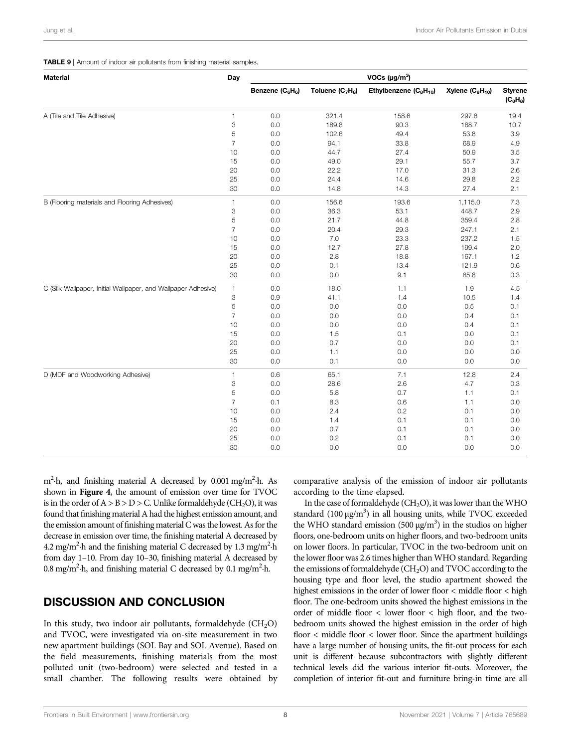## TABLE 9 | Amount of indoor air pollutants from finishing material samples.

| <b>Material</b>                                               | Day            | VOCs $(\mu g/m^3)$                       |                                          |                                                |                      |                              |  |
|---------------------------------------------------------------|----------------|------------------------------------------|------------------------------------------|------------------------------------------------|----------------------|------------------------------|--|
|                                                               |                | Benzene (C <sub>6</sub> H <sub>6</sub> ) | Toluene (C <sub>7</sub> H <sub>8</sub> ) | Ethylbenzene (C <sub>8</sub> H <sub>10</sub> ) | Xylene $(C_8H_{10})$ | <b>Styrene</b><br>$(C_8H_8)$ |  |
| A (Tile and Tile Adhesive)                                    | 1              | 0.0                                      | 321.4                                    | 158.6                                          | 297.8                | 19.4                         |  |
|                                                               | 3              | $0.0\,$                                  | 189.8                                    | 90.3                                           | 168.7                | 10.7                         |  |
|                                                               | 5              | 0.0                                      | 102.6                                    | 49.4                                           | 53.8                 | 3.9                          |  |
|                                                               | $\overline{7}$ | 0.0                                      | 94.1                                     | 33.8                                           | 68.9                 | 4.9                          |  |
|                                                               | 10             | $0.0\,$                                  | 44.7                                     | 27.4                                           | 50.9                 | 3.5                          |  |
|                                                               | 15             | $0.0\,$                                  | 49.0                                     | 29.1                                           | 55.7                 | 3.7                          |  |
|                                                               | 20             | 0.0                                      | 22.2                                     | 17.0                                           | 31.3                 | 2.6                          |  |
|                                                               | 25             | 0.0                                      | 24.4                                     | 14.6                                           | 29.8                 | 2.2                          |  |
|                                                               | 30             | 0.0                                      | 14.8                                     | 14.3                                           | 27.4                 | 2.1                          |  |
| B (Flooring materials and Flooring Adhesives)                 | 1              | 0.0                                      | 156.6                                    | 193.6                                          | 1,115.0              | 7.3                          |  |
|                                                               | 3              | 0.0                                      | 36.3                                     | 53.1                                           | 448.7                | 2.9                          |  |
|                                                               | 5              | 0.0                                      | 21.7                                     | 44.8                                           | 359.4                | 2.8                          |  |
|                                                               | $\overline{7}$ | $0.0\,$                                  | 20.4                                     | 29.3                                           | 247.1                | 2.1                          |  |
|                                                               | 10             | 0.0                                      | 7.0                                      | 23.3                                           | 237.2                | 1.5                          |  |
|                                                               | 15             | 0.0                                      | 12.7                                     | 27.8                                           | 199.4                | 2.0                          |  |
|                                                               | 20             | $0.0\,$                                  | 2.8                                      | 18.8                                           | 167.1                | 1.2                          |  |
|                                                               | 25             | $0.0\,$                                  | 0.1                                      | 13.4                                           | 121.9                | 0.6                          |  |
|                                                               | 30             | 0.0                                      | 0.0                                      | 9.1                                            | 85.8                 | 0.3                          |  |
| C (Silk Wallpaper, Initial Wallpaper, and Wallpaper Adhesive) | $\mathbf{1}$   | 0.0                                      | 18.0                                     | 1.1                                            | 1.9                  | 4.5                          |  |
|                                                               | 3              | $0.9\,$                                  | 41.1                                     | 1.4                                            | 10.5                 | 1.4                          |  |
|                                                               | 5              | 0.0                                      | 0.0                                      | 0.0                                            | 0.5                  | 0.1                          |  |
|                                                               | $\overline{7}$ | 0.0                                      | 0.0                                      | 0.0                                            | 0.4                  | 0.1                          |  |
|                                                               | 10             | 0.0                                      | 0.0                                      | 0.0                                            | 0.4                  | 0.1                          |  |
|                                                               | 15             | $0.0\,$                                  | 1.5                                      | 0.1                                            | 0.0                  | 0.1                          |  |
|                                                               | 20             | 0.0                                      | 0.7                                      | 0.0                                            | 0.0                  | 0.1                          |  |
|                                                               | 25             | 0.0                                      | 1.1                                      | 0.0                                            | 0.0                  | 0.0                          |  |
|                                                               | 30             | 0.0                                      | 0.1                                      | 0.0                                            | 0.0                  | 0.0                          |  |
| D (MDF and Woodworking Adhesive)                              | 1              | 0.6                                      | 65.1                                     | 7.1                                            | 12.8                 | 2.4                          |  |
|                                                               | 3              | 0.0                                      | 28.6                                     | 2.6                                            | 4.7                  | 0.3                          |  |
|                                                               | 5              | $0.0\,$                                  | 5.8                                      | 0.7                                            | 1.1                  | 0.1                          |  |
|                                                               | $\overline{7}$ | 0.1                                      | 8.3                                      | 0.6                                            | 1.1                  | 0.0                          |  |
|                                                               | 10             | 0.0                                      | 2.4                                      | 0.2                                            | 0.1                  | 0.0                          |  |
|                                                               | 15             | 0.0                                      | 1.4                                      | 0.1                                            | 0.1                  | 0.0                          |  |
|                                                               | 20             | 0.0                                      | 0.7                                      | 0.1                                            | 0.1                  | 0.0                          |  |
|                                                               | 25             | $0.0\,$                                  | 0.2                                      | 0.1                                            | 0.1                  | 0.0                          |  |
|                                                               | 30             | $0.0\,$                                  | 0.0                                      | 0.0                                            | 0.0                  | 0.0                          |  |

m<sup>2</sup>·h, and finishing material A decreased by 0.001 mg/m<sup>2</sup>·h. As shown in Figure 4, the amount of emission over time for TVOC is in the order of  $A > B > D > C$ . Unlike formaldehyde (CH<sub>2</sub>O), it was found that finishing material A had the highest emission amount, and the emission amount of finishing material C was the lowest. As for the decrease in emission over time, the finishing material A decreased by 4.2 mg/m<sup>2</sup>·h and the finishing material C decreased by 1.3 mg/m<sup>2</sup>·h from day 1–10. From day 10–30, finishing material A decreased by 0.8 mg/m<sup>2</sup>·h, and finishing material C decreased by 0.1 mg/m<sup>2</sup>·h.

# DISCUSSION AND CONCLUSION

In this study, two indoor air pollutants, formaldehyde  $(CH_2O)$ and TVOC, were investigated via on-site measurement in two new apartment buildings (SOL Bay and SOL Avenue). Based on the field measurements, finishing materials from the most polluted unit (two-bedroom) were selected and tested in a small chamber. The following results were obtained by

comparative analysis of the emission of indoor air pollutants according to the time elapsed.

In the case of formaldehyde ( $CH<sub>2</sub>O$ ), it was lower than the WHO standard (100 μg/m<sup>3</sup>) in all housing units, while TVOC exceeded the WHO standard emission (500  $\mu$ g/m<sup>3</sup>) in the studios on higher floors, one-bedroom units on higher floors, and two-bedroom units on lower floors. In particular, TVOC in the two-bedroom unit on the lower floor was 2.6 times higher than WHO standard. Regarding the emissions of formaldehyde  $(CH_2O)$  and TVOC according to the housing type and floor level, the studio apartment showed the highest emissions in the order of lower floor < middle floor < high floor. The one-bedroom units showed the highest emissions in the order of middle floor < lower floor < high floor, and the twobedroom units showed the highest emission in the order of high floor < middle floor < lower floor. Since the apartment buildings have a large number of housing units, the fit-out process for each unit is different because subcontractors with slightly different technical levels did the various interior fit-outs. Moreover, the completion of interior fit-out and furniture bring-in time are all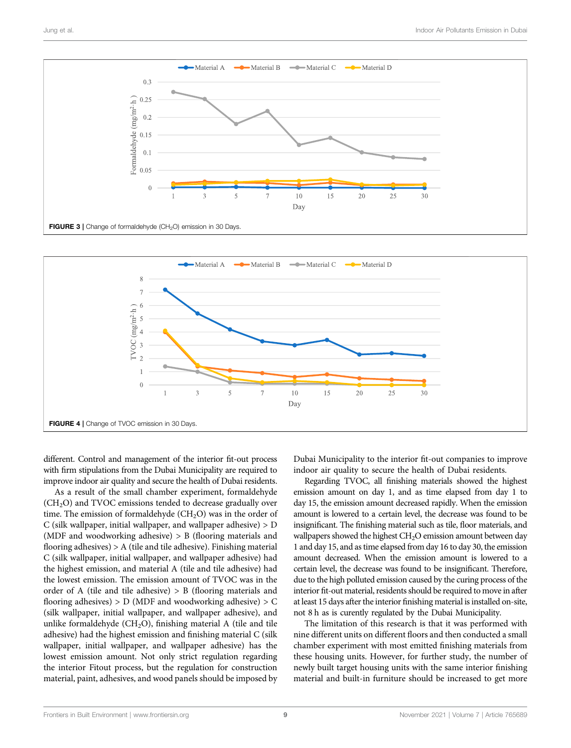



different. Control and management of the interior fit-out process with firm stipulations from the Dubai Municipality are required to improve indoor air quality and secure the health of Dubai residents.

As a result of the small chamber experiment, formaldehyde  $(CH<sub>2</sub>O)$  and TVOC emissions tended to decrease gradually over time. The emission of formaldehyde  $(CH_2O)$  was in the order of C (silk wallpaper, initial wallpaper, and wallpaper adhesive) > D (MDF and woodworking adhesive) > B (flooring materials and flooring adhesives) > A (tile and tile adhesive). Finishing material C (silk wallpaper, initial wallpaper, and wallpaper adhesive) had the highest emission, and material A (tile and tile adhesive) had the lowest emission. The emission amount of TVOC was in the order of A (tile and tile adhesive) > B (flooring materials and flooring adhesives)  $> D$  (MDF and woodworking adhesive)  $> C$ (silk wallpaper, initial wallpaper, and wallpaper adhesive), and unlike formaldehyde ( $CH<sub>2</sub>O$ ), finishing material A (tile and tile adhesive) had the highest emission and finishing material C (silk wallpaper, initial wallpaper, and wallpaper adhesive) has the lowest emission amount. Not only strict regulation regarding the interior Fitout process, but the regulation for construction material, paint, adhesives, and wood panels should be imposed by

Dubai Municipality to the interior fit-out companies to improve indoor air quality to secure the health of Dubai residents.

Regarding TVOC, all finishing materials showed the highest emission amount on day 1, and as time elapsed from day 1 to day 15, the emission amount decreased rapidly. When the emission amount is lowered to a certain level, the decrease was found to be insignificant. The finishing material such as tile, floor materials, and wallpapers showed the highest CH<sub>2</sub>O emission amount between day 1 and day 15, and as time elapsed from day 16 to day 30, the emission amount decreased. When the emission amount is lowered to a certain level, the decrease was found to be insignificant. Therefore, due to the high polluted emission caused by the curing process of the interior fit-out material, residents should be required to move in after at least 15 days after the interior finishing material is installed on-site, not 8 h as is curently regulated by the Dubai Municipality.

The limitation of this research is that it was performed with nine different units on different floors and then conducted a small chamber experiment with most emitted finishing materials from these housing units. However, for further study, the number of newly built target housing units with the same interior finishing material and built-in furniture should be increased to get more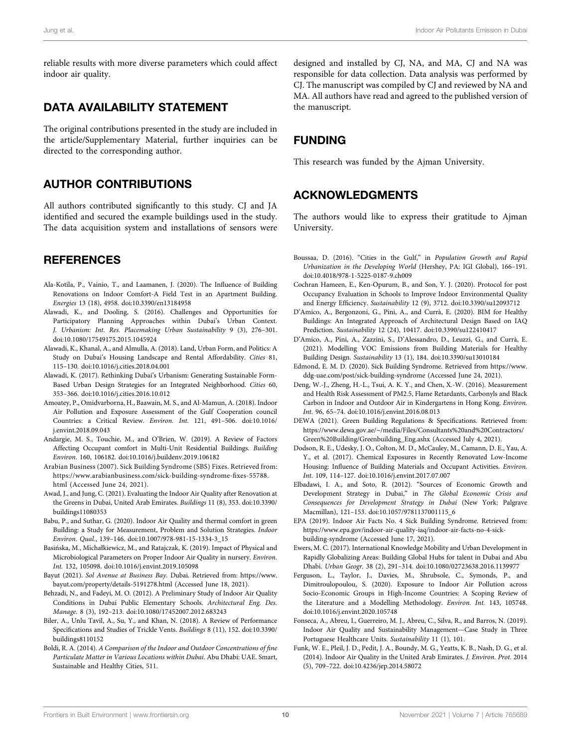reliable results with more diverse parameters which could affect indoor air quality.

# DATA AVAILABILITY STATEMENT

The original contributions presented in the study are included in the article/Supplementary Material, further inquiries can be directed to the corresponding author.

# AUTHOR CONTRIBUTIONS

All authors contributed significantly to this study. CJ and JA identified and secured the example buildings used in the study. The data acquisition system and installations of sensors were

# **REFERENCES**

- Ala-Kotila, P., Vainio, T., and Laamanen, J. (2020). The Influence of Building Renovations on Indoor Comfort-A Field Test in an Apartment Building. Energies 13 (18), 4958. doi:10.3390/en13184958
- Alawadi, K., and Dooling, S. (2016). Challenges and Opportunities for Participatory Planning Approaches within Dubai's Urban Context. J. Urbanism: Int. Res. Placemaking Urban Sustainability 9 (3), 276–301. doi:10.1080/17549175.2015.1045924
- Alawadi, K., Khanal, A., and Almulla, A. (2018). Land, Urban Form, and Politics: A Study on Dubai's Housing Landscape and Rental Affordability. Cities 81, 115–130. doi:10.1016/j.cities.2018.04.001
- Alawadi, K. (2017). Rethinking Dubai's Urbanism: Generating Sustainable Form-Based Urban Design Strategies for an Integrated Neighborhood. Cities 60, 353–366. doi:10.1016/j.cities.2016.10.012
- Amoatey, P., Omidvarborna, H., Baawain, M. S., and Al-Mamun, A. (2018). Indoor Air Pollution and Exposure Assessment of the Gulf Cooperation council Countries: a Critical Review. Environ. Int. 121, 491–506. doi:10.1016/ j.envint.2018.09.043
- Andargie, M. S., Touchie, M., and O'Brien, W. (2019). A Review of Factors Affecting Occupant comfort in Multi-Unit Residential Buildings. Building Environ. 160, 106182. doi:10.1016/j.buildenv.2019.106182
- Arabian Business (2007). Sick Building Syndrome (SBS) Fixes. Retrieved from: https://www.arabianbusiness.com/sick-building-syndrome-fixes-55788. html (Accessed June 24, 2021).
- Awad, J., and Jung, C. (2021). Evaluating the Indoor Air Quality after Renovation at the Greens in Dubai, United Arab Emirates. Buildings 11 (8), 353. doi:10.3390/ buildings11080353
- Babu, P., and Suthar, G. (2020). Indoor Air Quality and thermal comfort in green Building: a Study for Measurement, Problem and Solution Strategies. Indoor Environ. Qual., 139–146. doi:10.1007/978-981-15-1334-3\_15
- Basińska, M., Michałkiewicz, M., and Ratajczak, K. (2019). Impact of Physical and Microbiological Parameters on Proper Indoor Air Quality in nursery. Environ. Int. 132, 105098. doi:10.1016/j.envint.2019.105098
- Bayut (2021). Sol Avenue at Business Bay. Dubai. Retrieved from: https://www. bayut.com/property/details-5191278.html (Accessed June 18, 2021).
- Behzadi, N., and Fadeyi, M. O. (2012). A Preliminary Study of Indoor Air Quality Conditions in Dubai Public Elementary Schools. Architectural Eng. Des. Manage. 8 (3), 192–213. doi:10.1080/17452007.2012.683243
- Biler, A., Unlu Tavil, A., Su, Y., and Khan, N. (2018). A Review of Performance Specifications and Studies of Trickle Vents. Buildings 8 (11), 152. doi:10.3390/ buildings8110152
- Boldi, R. A. (2014). A Comparison of the Indoor and Outdoor Concentrations of fine Particulate Matter in Various Locations within Dubai. Abu Dhabi: UAE. Smart, Sustainable and Healthy Cities, 511.

designed and installed by CJ, NA, and MA, CJ and NA was responsible for data collection. Data analysis was performed by CJ. The manuscript was compiled by CJ and reviewed by NA and MA. All authors have read and agreed to the published version of the manuscript.

# FUNDING

This research was funded by the Ajman University.

# ACKNOWLEDGMENTS

The authors would like to express their gratitude to Aiman University.

- Boussaa, D. (2016). "Cities in the Gulf," in Population Growth and Rapid Urbanization in the Developing World (Hershey, PA: IGI Global), 166–191. doi:10.4018/978-1-5225-0187-9.ch009
- Cochran Hameen, E., Ken-Opurum, B., and Son, Y. J. (2020). Protocol for post Occupancy Evaluation in Schools to Improve Indoor Environmental Quality and Energy Efficiency. Sustainability 12 (9), 3712. doi:10.3390/su12093712
- D'Amico, A., Bergonzoni, G., Pini, A., and Currà, E. (2020). BIM for Healthy Buildings: An Integrated Approach of Architectural Design Based on IAQ Prediction. Sustainability 12 (24), 10417. doi:10.3390/su122410417
- D'Amico, A., Pini, A., Zazzini, S., D'Alessandro, D., Leuzzi, G., and Currà, E. (2021). Modelling VOC Emissions from Building Materials for Healthy Building Design. Sustainability 13 (1), 184. doi:10.3390/su13010184
- Edmond, E. M. D. (2020). Sick Building Syndrome. Retrieved from https://www. ddg-uae.com/post/sick-building-syndrome (Accessed June 24, 2021).
- Deng, W.-J., Zheng, H.-L., Tsui, A. K. Y., and Chen, X.-W. (2016). Measurement and Health Risk Assessment of PM2.5, Flame Retardants, Carbonyls and Black Carbon in Indoor and Outdoor Air in Kindergartens in Hong Kong. Environ. Int. 96, 65–74. doi:10.1016/j.envint.2016.08.013
- DEWA (2021). Green Building Regulations & Specifications. Retrieved from: https://www.dewa.gov.ae/∼/media/Files/Consultants%20and%20Contractors/ Green%20Building/Greenbuilding\_Eng.ashx (Accessed July 4, 2021).
- Dodson, R. E., Udesky, J. O., Colton, M. D., McCauley, M., Camann, D. E., Yau, A. Y., et al. (2017). Chemical Exposures in Recently Renovated Low-Income Housing: Influence of Building Materials and Occupant Activities. Environ. Int. 109, 114–127. doi:10.1016/j.envint.2017.07.007
- Elbadawi, I. A., and Soto, R. (2012). "Sources of Economic Growth and Development Strategy in Dubai," in The Global Economic Crisis and Consequences for Development Strategy in Dubai (New York: Palgrave Macmillan), 121–153. doi:10.1057/9781137001115\_6
- EPA (2019). Indoor Air Facts No. 4 Sick Building Syndrome. Retrieved from: https://www.epa.gov/indoor-air-quality-iaq/indoor-air-facts-no-4-sickbuilding-syndrome (Accessed June 17, 2021).
- Ewers, M. C. (2017). International Knowledge Mobility and Urban Development in Rapidly Globalizing Areas: Building Global Hubs for talent in Dubai and Abu Dhabi. Urban Geogr. 38 (2), 291–314. doi:10.1080/02723638.2016.1139977
- Ferguson, L., Taylor, J., Davies, M., Shrubsole, C., Symonds, P., and Dimitroulopoulou, S. (2020). Exposure to Indoor Air Pollution across Socio-Economic Groups in High-Income Countries: A Scoping Review of the Literature and a Modelling Methodology. Environ. Int. 143, 105748. doi:10.1016/j.envint.2020.105748
- Fonseca, A., Abreu, I., Guerreiro, M. J., Abreu, C., Silva, R., and Barros, N. (2019). Indoor Air Quality and Sustainability Management—Case Study in Three Portuguese Healthcare Units. Sustainability 11 (1), 101.
- Funk, W. E., Pleil, J. D., Pedit, J. A., Boundy, M. G., Yeatts, K. B., Nash, D. G., et al. (2014). Indoor Air Quality in the United Arab Emirates. J. Environ. Prot. 2014 (5), 709–722. doi:10.4236/jep.2014.58072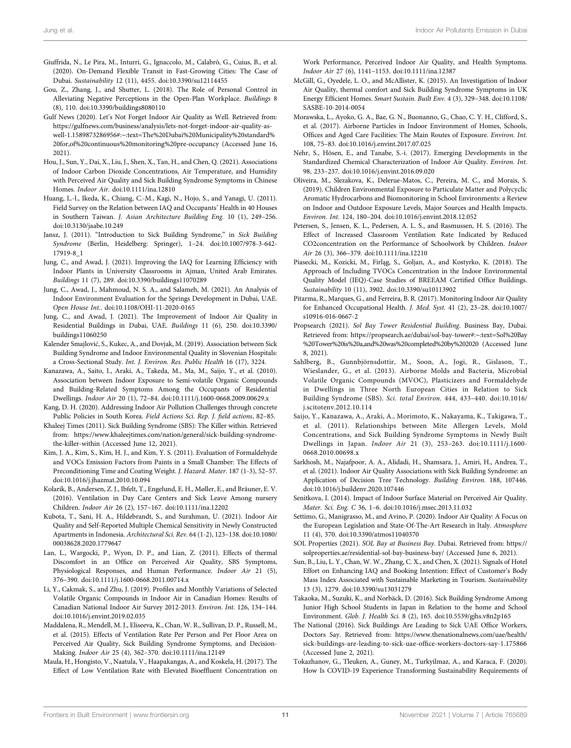- Giuffrida, N., Le Pira, M., Inturri, G., Ignaccolo, M., Calabrò, G., Cuius, B., et al. (2020). On-Demand Flexible Transit in Fast-Growing Cities: The Case of Dubai. Sustainability 12 (11), 4455. doi:10.3390/su12114455
- Gou, Z., Zhang, J., and Shutter, L. (2018). The Role of Personal Control in Alleviating Negative Perceptions in the Open-Plan Workplace. Buildings 8 (8), 110. doi:10.3390/buildings8080110
- Gulf News (2020). Let's Not Forget Indoor Air Quality as Well. Retrieved from: https://gulfnews.com/business/analysis/lets-not-forget-indoor-air-quality-aswell-1.1589873286956#:∼:text-The%20Dubai%20Municipality%20standard% 20for,of%20continuous%20monitoring%20pre-occupancy (Accessed June 16, 2021).
- Hou, J., Sun, Y., Dai, X., Liu, J., Shen, X., Tan, H., and Chen, Q. (2021). Associations of Indoor Carbon Dioxide Concentrations, Air Temperature, and Humidity with Perceived Air Quality and Sick Building Syndrome Symptoms in Chinese Homes. Indoor Air. doi:10.1111/ina.12810
- Huang, L.-l., Ikeda, K., Chiang, C.-M., Kagi, N., Hojo, S., and Yanagi, U. (2011). Field Survey on the Relation between IAQ and Occupants' Health in 40 Houses in Southern Taiwan. J. Asian Architecture Building Eng. 10 (1), 249–256. doi:10.3130/jaabe.10.249
- Jansz, J. (2011). "Introduction to Sick Building Syndrome," in Sick Building Syndrome (Berlin, Heidelberg: Springer), 1–24. doi:10.1007/978-3-642- 17919-8\_1
- Jung, C., and Awad, J. (2021). Improving the IAQ for Learning Efficiency with Indoor Plants in University Classrooms in Ajman, United Arab Emirates. Buildings 11 (7), 289. doi:10.3390/buildings11070289
- Jung, C., Awad, J., Mahmoud, N. S. A., and Salameh, M. (2021). An Analysis of Indoor Environment Evaluation for the Springs Development in Dubai, UAE. Open House Int.. doi:10.1108/OHI-11-2020-0165
- Jung, C., and Awad, J. (2021). The Improvement of Indoor Air Quality in Residential Buildings in Dubai, UAE. Buildings 11 (6), 250. doi:10.3390/ buildings11060250
- Kalender Smajlović, S., Kukec, A., and Dovjak, M. (2019). Association between Sick Building Syndrome and Indoor Environmental Quality in Slovenian Hospitals: a Cross-Sectional Study. Int. J. Environ. Res. Public Health 16 (17), 3224.
- Kanazawa, A., Saito, I., Araki, A., Takeda, M., Ma, M., Saijo, Y., et al. (2010). Association between Indoor Exposure to Semi-volatile Organic Compounds and Building-Related Symptoms Among the Occupants of Residential Dwellings. Indoor Air 20 (1), 72–84. doi:10.1111/j.1600-0668.2009.00629.x
- Kang, D. H. (2020). Addressing Indoor Air Pollution Challenges through concrete Public Policies in South Korea. Field Actions Sci. Rep. J. field actions, 82–85.
- Khaleej Times (2011). Sick Building Syndrome (SBS): The Killer within. Retrieved from: https://www.khaleejtimes.com/nation/general/sick-building-syndromethe-killer-within (Accessed June 12, 2021).
- Kim, J. A., Kim, S., Kim, H. J., and Kim, Y. S. (2011). Evaluation of Formaldehyde and VOCs Emission Factors from Paints in a Small Chamber: The Effects of Preconditioning Time and Coating Weight. J. Hazard. Mater. 187 (1-3), 52–57. doi:10.1016/j.jhazmat.2010.10.094
- Kolarik, B., Andersen, Z. J., Ibfelt, T., Engelund, E. H., Møller, E., and Bräuner, E. V. (2016). Ventilation in Day Care Centers and Sick Leave Among nursery Children. Indoor Air 26 (2), 157–167. doi:10.1111/ina.12202
- Kubota, T., Sani, H. A., Hildebrandt, S., and Surahman, U. (2021). Indoor Air Quality and Self-Reported Multiple Chemical Sensitivity in Newly Constructed Apartments in Indonesia. Architectural Sci. Rev. 64 (1-2), 123–138. doi:10.1080/ 00038628.2020.1779647
- Lan, L., Wargocki, P., Wyon, D. P., and Lian, Z. (2011). Effects of thermal Discomfort in an Office on Perceived Air Quality, SBS Symptoms, Physiological Responses, and Human Performance. Indoor Air 21 (5), 376–390. doi:10.1111/j.1600-0668.2011.00714.x
- Li, Y., Cakmak, S., and Zhu, J. (2019). Profiles and Monthly Variations of Selected Volatile Organic Compounds in Indoor Air in Canadian Homes: Results of Canadian National Indoor Air Survey 2012-2013. Environ. Int. 126, 134–144. doi:10.1016/j.envint.2019.02.035
- Maddalena, R., Mendell, M. J., Eliseeva, K., Chan, W. R., Sullivan, D. P., Russell, M., et al. (2015). Effects of Ventilation Rate Per Person and Per Floor Area on Perceived Air Quality, Sick Building Syndrome Symptoms, and Decision-Making. Indoor Air 25 (4), 362–370. doi:10.1111/ina.12149
- Maula, H., Hongisto, V., Naatula, V., Haapakangas, A., and Koskela, H. (2017). The Effect of Low Ventilation Rate with Elevated Bioeffluent Concentration on

Work Performance, Perceived Indoor Air Quality, and Health Symptoms. Indoor Air 27 (6), 1141–1153. doi:10.1111/ina.12387

- McGill, G., Oyedele, L. O., and McAllister, K. (2015). An Investigation of Indoor Air Quality, thermal comfort and Sick Building Syndrome Symptoms in UK Energy Efficient Homes. Smart Sustain. Built Env. 4 (3), 329–348. doi:10.1108/ SASBE-10-2014-0054
- Morawska, L., Ayoko, G. A., Bae, G. N., Buonanno, G., Chao, C. Y. H., Clifford, S., et al. (2017). Airborne Particles in Indoor Environment of Homes, Schools, Offices and Aged Care Facilities: The Main Routes of Exposure. Environ. Int. 108, 75–83. doi:10.1016/j.envint.2017.07.025
- Nehr, S., Hösen, E., and Tanabe, S.-i. (2017). Emerging Developments in the Standardized Chemical Characterization of Indoor Air Quality. Environ. Int. 98, 233–237. doi:10.1016/j.envint.2016.09.020
- Oliveira, M., Slezakova, K., Delerue-Matos, C., Pereira, M. C., and Morais, S. (2019). Children Environmental Exposure to Particulate Matter and Polycyclic Aromatic Hydrocarbons and Biomonitoring in School Environments: a Review on Indoor and Outdoor Exposure Levels, Major Sources and Health Impacts. Environ. Int. 124, 180–204. doi:10.1016/j.envint.2018.12.052
- Petersen, S., Jensen, K. L., Pedersen, A. L. S., and Rasmussen, H. S. (2016). The Effect of Increased Classroom Ventilation Rate Indicated by Reduced CO2concentration on the Performance of Schoolwork by Children. Indoor Air 26 (3), 366–379. doi:10.1111/ina.12210
- Piasecki, M., Kozicki, M., Firląg, S., Goljan, A., and Kostyrko, K. (2018). The Approach of Including TVOCs Concentration in the Indoor Environmental Quality Model (IEQ)-Case Studies of BREEAM Certified Office Buildings. Sustainability 10 (11), 3902. doi:10.3390/su10113902
- Pitarma, R., Marques, G., and Ferreira, B. R. (2017). Monitoring Indoor Air Quality for Enhanced Occupational Health. J. Med. Syst. 41 (2), 23–28. doi:10.1007/ s10916-016-0667-2
- Propsearch (2021). Sol Bay Tower Residential Building. Business Bay, Dubai. Retrieved from: https://propsearch.ae/dubai/sol-bay-tower#:∼:text-Sol%20Bay %20Tower%20is%20a,and%20was%20completed%20by%202020 (Accessed June 8, 2021).
- Sahlberg, B., Gunnbjörnsdottir, M., Soon, A., Jogi, R., Gislason, T., Wieslander, G., et al. (2013). Airborne Molds and Bacteria, Microbial Volatile Organic Compounds (MVOC), Plasticizers and Formaldehyde in Dwellings in Three North European Cities in Relation to Sick Building Syndrome (SBS). Sci. total Environ. 444, 433–440. doi:10.1016/ j.scitotenv.2012.10.114
- Saijo, Y., Kanazawa, A., Araki, A., Morimoto, K., Nakayama, K., Takigawa, T., et al. (2011). Relationships between Mite Allergen Levels, Mold Concentrations, and Sick Building Syndrome Symptoms in Newly Built Dwellings in Japan. Indoor Air 21 (3), 253–263. doi:10.1111/j.1600- 0668.2010.00698.x
- Sarkhosh, M., Najafpoor, A. A., Alidadi, H., Shamsara, J., Amiri, H., Andrea, T., et al. (2021). Indoor Air Quality Associations with Sick Building Syndrome: an Application of Decision Tree Technology. Building Environ. 188, 107446. doi:10.1016/j.buildenv.2020.107446
- Senitkova, I. (2014). Impact of Indoor Surface Material on Perceived Air Quality. Mater. Sci. Eng. C 36, 1–6. doi:10.1016/j.msec.2013.11.032
- Settimo, G., Manigrasso, M., and Avino, P. (2020). Indoor Air Quality: A Focus on the European Legislation and State-Of-The-Art Research in Italy. Atmosphere 11 (4), 370. doi:10.3390/atmos11040370
- SOL Properties (2021). SOL Bay at Business Bay. Dubai. Retrieved from: https:// solproperties.ae/residential-sol-bay-business-bay/ (Accessed June 6, 2021).
- Sun, B., Liu, L. Y., Chan, W. W., Zhang, C. X., and Chen, X. (2021). Signals of Hotel Effort on Enhancing IAQ and Booking Intention: Effect of Customer's Body Mass Index Associated with Sustainable Marketing in Tourism. Sustainability 13 (3), 1279. doi:10.3390/su13031279
- Takaoka, M., Suzuki, K., and Norbäck, D. (2016). Sick Building Syndrome Among Junior High School Students in Japan in Relation to the home and School Environment. Glob. J. Health Sci. 8 (2), 165. doi:10.5539/gjhs.v8n2p165
- The National (2016). Sick Buildings Are Leading to Sick UAE Office Workers, Doctors Say. Retrieved from: https://www.thenationalnews.com/uae/health/ sick-buildings-are-leading-to-sick-uae-office-workers-doctors-say-1.175866 (Accessed June 2, 2021).
- Tokazhanov, G., Tleuken, A., Guney, M., Turkyilmaz, A., and Karaca, F. (2020). How Is COVID-19 Experience Transforming Sustainability Requirements of